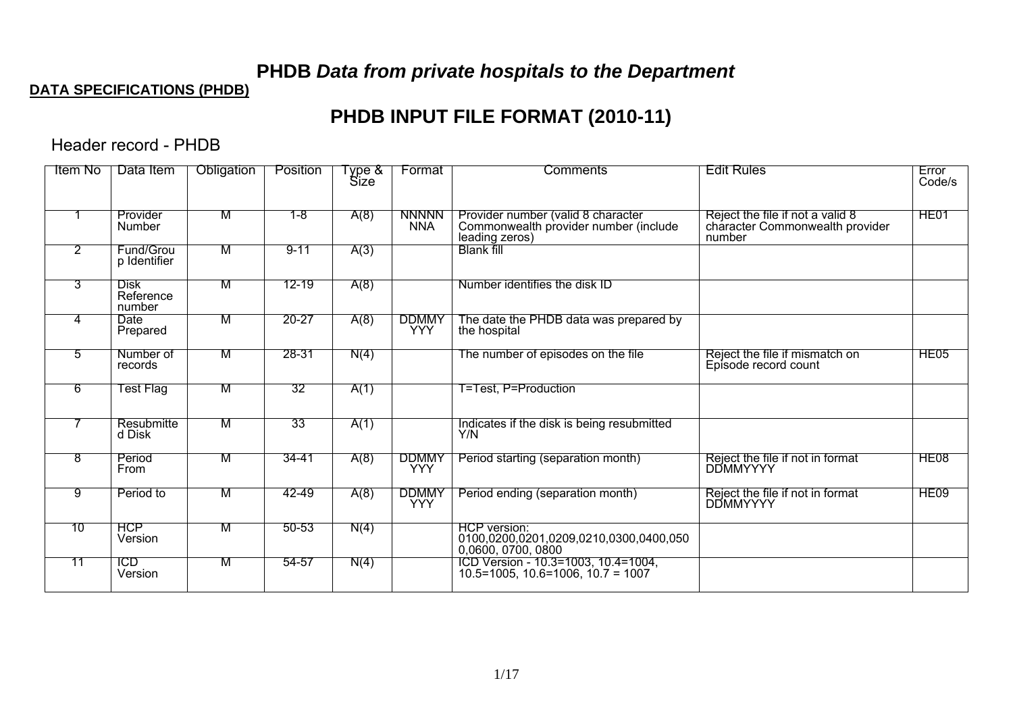# **PHDB** *Data from private hospitals to the Department*

#### **DATA SPECIFICATIONS (PHDB)**

# **PHDB INPUT FILE FORMAT (2010-11)**

Header record - PHDB

| <b>Item No</b> | Data Item                          | <b>Obligation</b> | Position  | $\sqrt{2}$ pe &<br><b>Size</b> | Format                     | Comments                                                                                      | <b>Edit Rules</b>                                                             | Error<br>Code/s  |
|----------------|------------------------------------|-------------------|-----------|--------------------------------|----------------------------|-----------------------------------------------------------------------------------------------|-------------------------------------------------------------------------------|------------------|
|                | Provider<br><b>Number</b>          | М                 | $1 - 8$   | A(8)                           | <b>NNNNN</b><br><b>NNA</b> | Provider number (valid 8 character<br>Commonwealth provider number (include<br>leading zeros) | Reject the file if not a valid 8<br>character Commonwealth provider<br>number | HE <sub>01</sub> |
| $\overline{2}$ | Fund/Grou<br>p Identifier          | M                 | $9 - 11$  | A(3)                           |                            | <b>Blank fill</b>                                                                             |                                                                               |                  |
| 3              | <b>Disk</b><br>Reference<br>number | M                 | $12 - 19$ | A(8)                           |                            | Number identifies the disk ID                                                                 |                                                                               |                  |
| 4              | Date<br>Prepared                   | м                 | $20 - 27$ | A(8)                           | <b>DDMMY</b><br><b>YYY</b> | The date the PHDB data was prepared by<br>the hospital                                        |                                                                               |                  |
| 5              | Number of<br>records               | M                 | 28-31     | N(4)                           |                            | The number of episodes on the file                                                            | Reject the file if mismatch on<br>Episode record count                        | HE <sub>05</sub> |
| -6             | Fest Flag                          | м                 | 32        | A(1)                           |                            | T=Test, P=Production                                                                          |                                                                               |                  |
|                | Resubmitte<br>d Disk               | M                 | 33        | A(1)                           |                            | Indicates if the disk is being resubmitted<br>Y/N                                             |                                                                               |                  |
| 8              | Period<br>From                     | м                 | 34-41     | A(8)                           | <b>DDMMY</b><br><b>YYY</b> | Period starting (separation month)                                                            | Reject the file if not in format<br><b>DDMMYYYY</b>                           | HE <sub>08</sub> |
| 9              | Period to                          | м                 | 42-49     | A(8)                           | <b>DDMMY</b><br><b>YYY</b> | Period ending (separation month)                                                              | Reject the file if not in format<br><b>DDMMYYYY</b>                           | HE09             |
| 10             | <b>HCP</b><br>Version              | м                 | $50 - 53$ | N(4)                           |                            | HCP version:<br>0100,0200,0201,0209,0210,0300,0400,050<br>0,0600, 0700, 0800                  |                                                                               |                  |
| 71             | <b>ICD</b><br>Version              | M                 | 54-57     | N(4)                           |                            | ICD Version - 10.3=1003, 10.4=1004,<br>$10.5 = 1005, 10.6 = 1006, 10.7 = 1007$                |                                                                               |                  |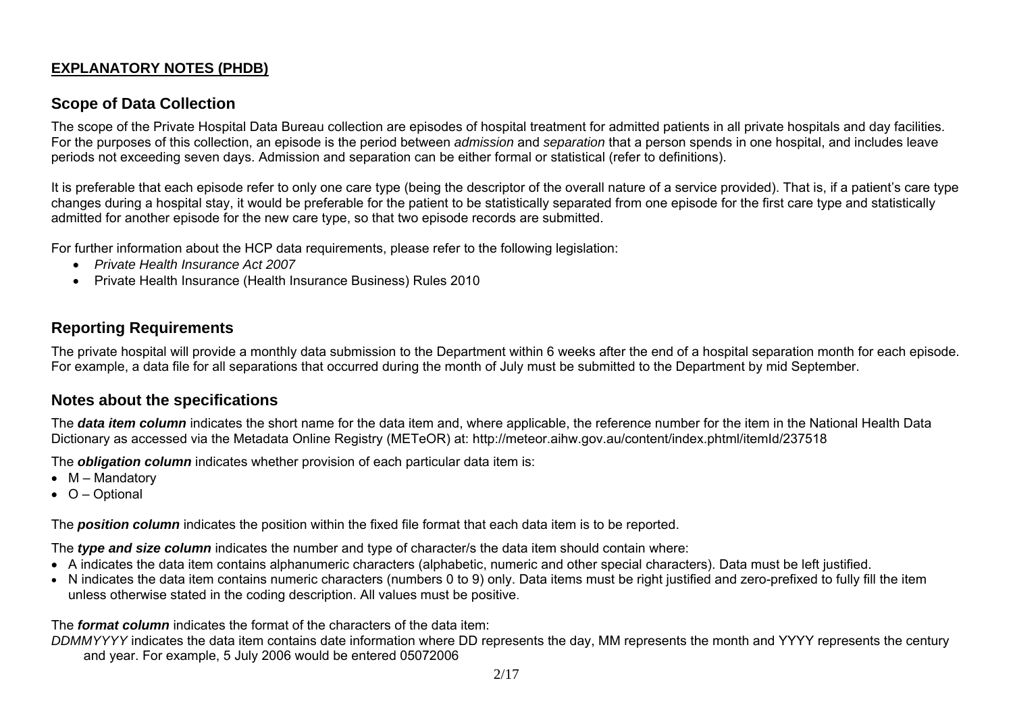#### **EXPLANATORY NOTES (PHDB)**

#### **Scope of Data Collection**

The scope of the Private Hospital Data Bureau collection are episodes of hospital treatment for admitted patients in all private hospitals and day facilities. For the purposes of this collection, an episode is the period between *admission* and *separation* that a person spends in one hospital, and includes leave periods not exceeding seven days. Admission and separation can be either formal or statistical (refer to definitions).

It is preferable that each episode refer to only one care type (being the descriptor of the overall nature of a service provided). That is, if a patient's care type changes during a hospital stay, it would be preferable for the patient to be statistically separated from one episode for the first care type and statistically admitted for another episode for the new care type, so that two episode records are submitted.

For further information about the HCP data requirements, please refer to the following legislation:

- *Private Health Insurance Act 2007*
- Private Health Insurance (Health Insurance Business) Rules 2010

#### **Reporting Requirements**

The private hospital will provide a monthly data submission to the Department within 6 weeks after the end of a hospital separation month for each episode. For example, a data file for all separations that occurred during the month of July must be submitted to the Department by mid September.

#### **Notes about the specifications**

The *data item column* indicates the short name for the data item and, where applicable, the reference number for the item in the National Health Data Dictionary as accessed via the Metadata Online Registry (METeOR) at: http://meteor.aihw.gov.au/content/index.phtml/itemId/237518

The *obligation column* indicates whether provision of each particular data item is:

- M Mandatory
- O Optional

The *position column* indicates the position within the fixed file format that each data item is to be reported.

The *type and size column* indicates the number and type of character/s the data item should contain where:

- A indicates the data item contains alphanumeric characters (alphabetic, numeric and other special characters). Data must be left justified.
- N indicates the data item contains numeric characters (numbers 0 to 9) only. Data items must be right justified and zero-prefixed to fully fill the item unless otherwise stated in the coding description. All values must be positive.

The *format column* indicates the format of the characters of the data item:

*DDMMYYYY* indicates the data item contains date information where DD represents the day, MM represents the month and YYYY represents the century and year. For example, 5 July 2006 would be entered 05072006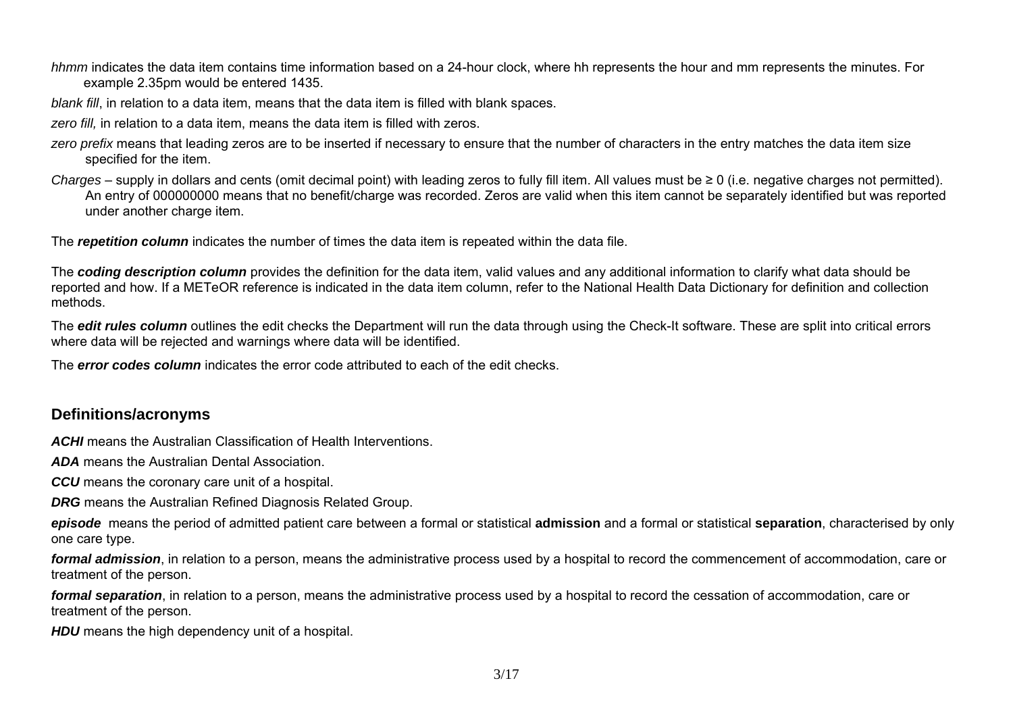*hhmm* indicates the data item contains time information based on a 24-hour clock, where hh represents the hour and mm represents the minutes. For example 2.35pm would be entered 1435.

*blank fill*, in relation to a data item, means that the data item is filled with blank spaces.

zero fill, in relation to a data item, means the data item is filled with zeros.

- *zero prefix* means that leading zeros are to be inserted if necessary to ensure that the number of characters in the entry matches the data item size specified for the item.
- *Charges*  supply in dollars and cents (omit decimal point) with leading zeros to fully fill item. All values must be ≥ 0 (i.e. negative charges not permitted). An entry of 000000000 means that no benefit/charge was recorded. Zeros are valid when this item cannot be separately identified but was reported under another charge item.

The *repetition column* indicates the number of times the data item is repeated within the data file.

The *coding description column* provides the definition for the data item, valid values and any additional information to clarify what data should be reported and how. If a METeOR reference is indicated in the data item column, refer to the National Health Data Dictionary for definition and collection methods.

The **edit rules column** outlines the edit checks the Department will run the data through using the Check-It software. These are split into critical errors where data will be rejected and warnings where data will be identified.

The *error codes column* indicates the error code attributed to each of the edit checks.

#### **Definitions/acronyms**

*ACHI* means the Australian Classification of Health Interventions.

*ADA* means the Australian Dental Association.

**CCU** means the coronary care unit of a hospital.

*DRG* means the Australian Refined Diagnosis Related Group.

*episode* means the period of admitted patient care between a formal or statistical **admission** and a formal or statistical **separation**, characterised by only one care type.

*formal admission*, in relation to a person, means the administrative process used by a hospital to record the commencement of accommodation, care or treatment of the person.

*formal separation*, in relation to a person, means the administrative process used by a hospital to record the cessation of accommodation, care or treatment of the person.

**HDU** means the high dependency unit of a hospital.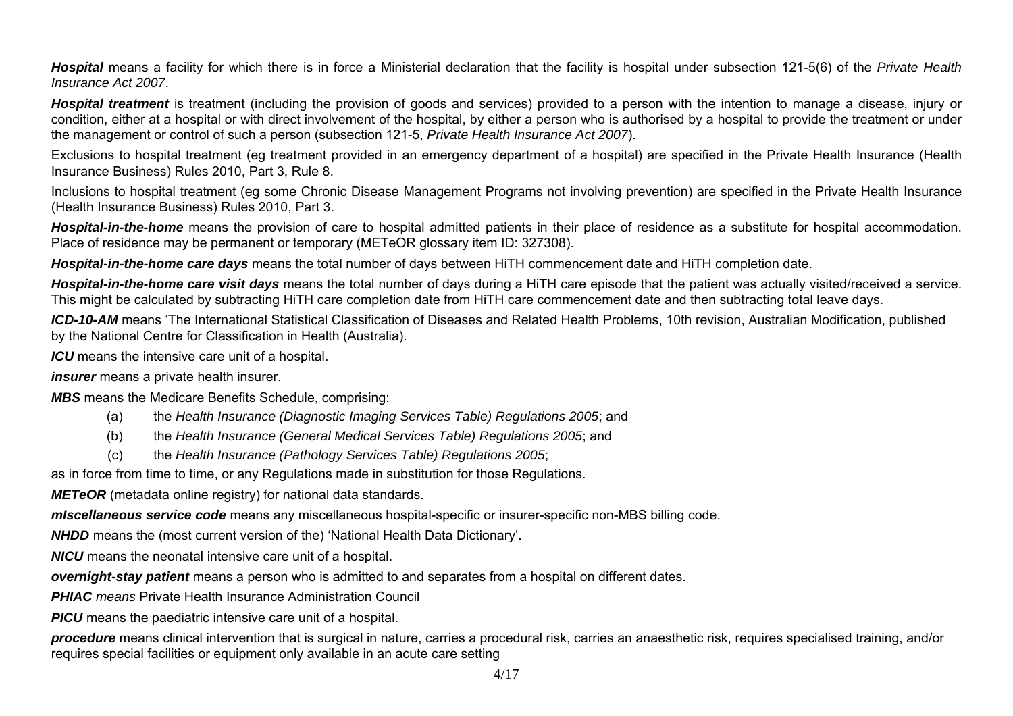*Hospital* means a facility for which there is in force a Ministerial declaration that the facility is hospital under subsection 121-5(6) of the *Private Health Insurance Act 2007*.

*Hospital treatment* is treatment (including the provision of goods and services) provided to a person with the intention to manage a disease, injury or condition, either at a hospital or with direct involvement of the hospital, by either a person who is authorised by a hospital to provide the treatment or under the management or control of such a person (subsection 121-5, *Private Health Insurance Act 2007*).

Exclusions to hospital treatment (eg treatment provided in an emergency department of a hospital) are specified in the Private Health Insurance (Health Insurance Business) Rules 2010, Part 3, Rule 8.

Inclusions to hospital treatment (eg some Chronic Disease Management Programs not involving prevention) are specified in the Private Health Insurance (Health Insurance Business) Rules 2010, Part 3.

*Hospital-in-the-home* means the provision of care to hospital admitted patients in their place of residence as a substitute for hospital accommodation. Place of residence may be permanent or temporary (METeOR glossary item ID: 327308).

*Hospital-in-the-home care days* means the total number of days between HiTH commencement date and HiTH completion date.

*Hospital-in-the-home care visit days* means the total number of days during a HiTH care episode that the patient was actually visited/received a service. This might be calculated by subtracting HiTH care completion date from HiTH care commencement date and then subtracting total leave days.

*ICD-10-AM* means 'The International Statistical Classification of Diseases and Related Health Problems, 10th revision, Australian Modification, published by the National Centre for Classification in Health (Australia).

*ICU* means the intensive care unit of a hospital.

*insurer* means a private health insurer.

*MBS* means the Medicare Benefits Schedule, comprising:

- (a) the *Health Insurance (Diagnostic Imaging Services Table) Regulations 2005*; and
- (b) the *Health Insurance (General Medical Services Table) Regulations 2005*; and
- (c) the *Health Insurance (Pathology Services Table) Regulations 2005*;

as in force from time to time, or any Regulations made in substitution for those Regulations.

*METeOR* (metadata online registry) for national data standards.

*mIscellaneous service code* means any miscellaneous hospital-specific or insurer-specific non-MBS billing code.

*NHDD* means the (most current version of the) 'National Health Data Dictionary'.

*NICU* means the neonatal intensive care unit of a hospital.

*overnight-stay patient* means a person who is admitted to and separates from a hospital on different dates.

*PHIAC means* Private Health Insurance Administration Council

*PICU* means the paediatric intensive care unit of a hospital.

*procedure* means clinical intervention that is surgical in nature, carries a procedural risk, carries an anaesthetic risk, requires specialised training, and/or requires special facilities or equipment only available in an acute care setting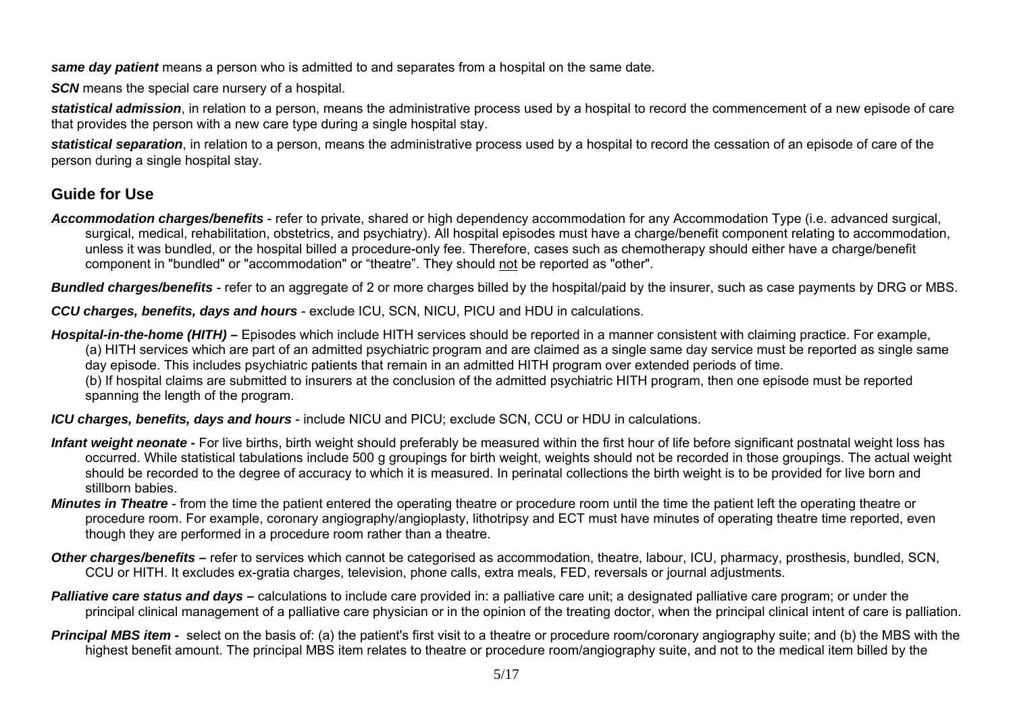*same day patient* means a person who is admitted to and separates from a hospital on the same date.

*SCN* means the special care nursery of a hospital.

*statistical admission*, in relation to a person, means the administrative process used by a hospital to record the commencement of a new episode of care that provides the person with a new care type during a single hospital stay.

*statistical separation*, in relation to a person, means the administrative process used by a hospital to record the cessation of an episode of care of the person during a single hospital stay.

## **Guide for Use**

*Accommodation charges/benefits* - refer to private, shared or high dependency accommodation for any Accommodation Type (i.e. advanced surgical, surgical, medical, rehabilitation, obstetrics, and psychiatry). All hospital episodes must have a charge/benefit component relating to accommodation, unless it was bundled, or the hospital billed a procedure-only fee. Therefore, cases such as chemotherapy should either have a charge/benefit component in "bundled" or "accommodation" or "theatre". They should not be reported as "other".

*Bundled charges/benefits* - refer to an aggregate of 2 or more charges billed by the hospital/paid by the insurer, such as case payments by DRG or MBS.

*CCU charges, benefits, days and hours* - exclude ICU, SCN, NICU, PICU and HDU in calculations.

*Hospital-in-the-home (HITH)* **–** Episodes which include HITH services should be reported in a manner consistent with claiming practice. For example, (a) HITH services which are part of an admitted psychiatric program and are claimed as a single same day service must be reported as single same day episode. This includes psychiatric patients that remain in an admitted HITH program over extended periods of time.

(b) If hospital claims are submitted to insurers at the conclusion of the admitted psychiatric HITH program, then one episode must be reported spanning the length of the program.

*ICU charges, benefits, days and hours* - include NICU and PICU; exclude SCN, CCU or HDU in calculations.

- Infant weight neonate For live births, birth weight should preferably be measured within the first hour of life before significant postnatal weight loss has occurred. While statistical tabulations include 500 g groupings for birth weight, weights should not be recorded in those groupings. The actual weight should be recorded to the degree of accuracy to which it is measured. In perinatal collections the birth weight is to be provided for live born and stillborn babies.
- *Minutes in Theatre* from the time the patient entered the operating theatre or procedure room until the time the patient left the operating theatre or procedure room. For example, coronary angiography/angioplasty, lithotripsy and ECT must have minutes of operating theatre time reported, even though they are performed in a procedure room rather than a theatre.
- **Other charges/benefits** refer to services which cannot be categorised as accommodation, theatre, labour, ICU, pharmacy, prosthesis, bundled, SCN, CCU or HITH. It excludes ex-gratia charges, television, phone calls, extra meals, FED, reversals or journal adjustments.
- **Palliative care status and days** calculations to include care provided in: a palliative care unit; a designated palliative care program; or under the principal clinical management of a palliative care physician or in the opinion of the treating doctor, when the principal clinical intent of care is palliation.
- **Principal MBS item** select on the basis of: (a) the patient's first visit to a theatre or procedure room/coronary angiography suite; and (b) the MBS with the highest benefit amount. The principal MBS item relates to theatre or procedure room/angiography suite, and not to the medical item billed by the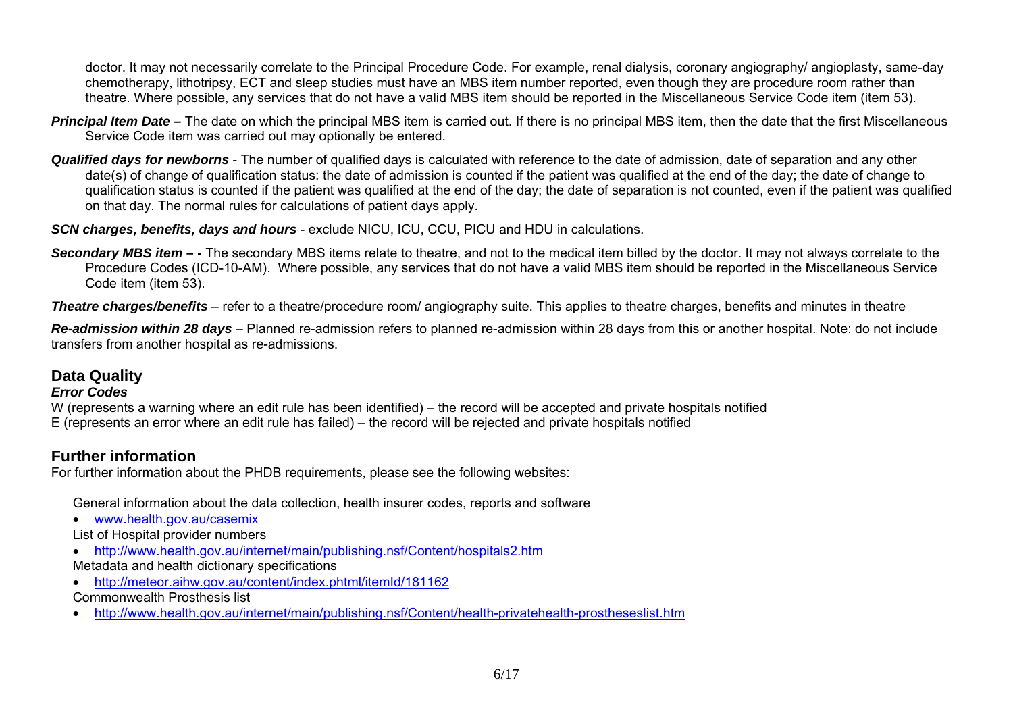doctor. It may not necessarily correlate to the Principal Procedure Code. For example, renal dialysis, coronary angiography/ angioplasty, same-day chemotherapy, lithotripsy, ECT and sleep studies must have an MBS item number reported, even though they are procedure room rather than theatre. Where possible, any services that do not have a valid MBS item should be reported in the Miscellaneous Service Code item (item 53).

- **Principal Item Date –** The date on which the principal MBS item is carried out. If there is no principal MBS item, then the date that the first Miscellaneous Service Code item was carried out may optionally be entered.
- *Qualified days for newborns* The number of qualified days is calculated with reference to the date of admission, date of separation and any other date(s) of change of qualification status: the date of admission is counted if the patient was qualified at the end of the day; the date of change to qualification status is counted if the patient was qualified at the end of the day; the date of separation is not counted, even if the patient was qualified on that day. The normal rules for calculations of patient days apply.

*SCN charges, benefits, days and hours* - exclude NICU, ICU, CCU, PICU and HDU in calculations.

**Secondary MBS item –** - The secondary MBS items relate to theatre, and not to the medical item billed by the doctor. It may not always correlate to the Procedure Codes (ICD-10-AM). Where possible, any services that do not have a valid MBS item should be reported in the Miscellaneous Service Code item (item 53).

*Theatre charges/benefits* – refer to a theatre/procedure room/ angiography suite. This applies to theatre charges, benefits and minutes in theatre

*Re-admission within 28 days* – Planned re-admission refers to planned re-admission within 28 days from this or another hospital. Note: do not include transfers from another hospital as re-admissions.

#### **Data Quality**

#### *Error Codes*

W (represents a warning where an edit rule has been identified) – the record will be accepted and private hospitals notified E (represents an error where an edit rule has failed) – the record will be rejected and private hospitals notified

### **Further information**

For further information about the PHDB requirements, please see the following websites:

General information about the data collection, health insurer codes, reports and software

- www.health.gov.au/casemix
- List of Hospital provider numbers
- http://www.health.gov.au/internet/main/publishing.nsf/Content/hospitals2.htm
- Metadata and health dictionary specifications
- http://meteor.aihw.gov.au/content/index.phtml/itemId/181162
- Commonwealth Prosthesis list
- •http://www.health.gov.au/internet/main/publishing.nsf/Content/health-privatehealth-prostheseslist.htm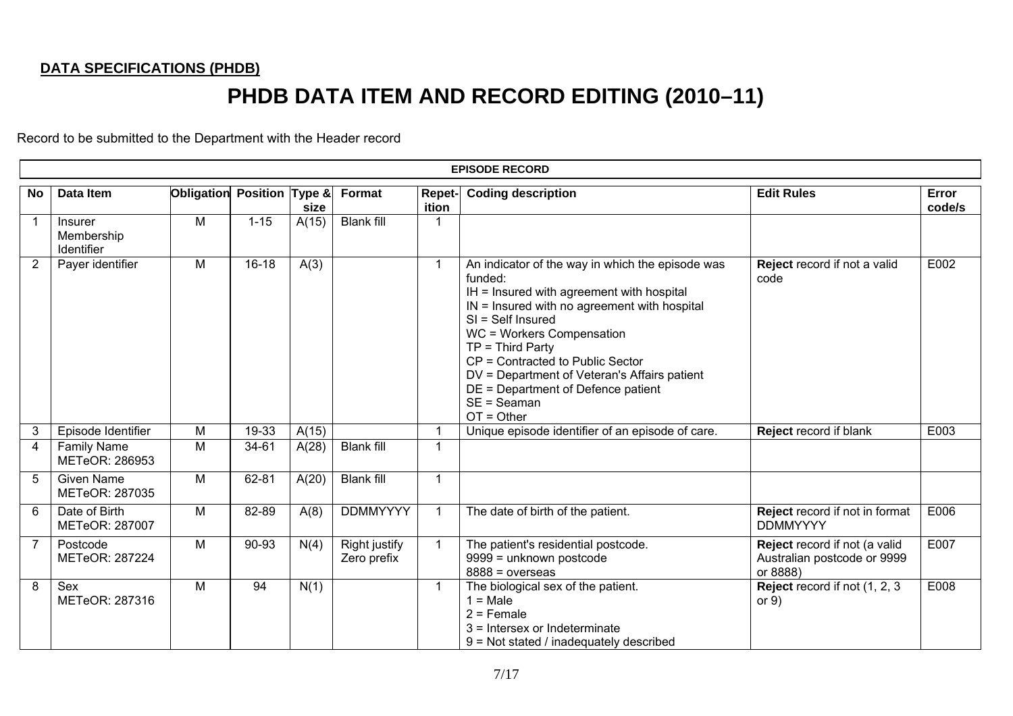## **DATA SPECIFICATIONS (PHDB)**

# **PHDB DATA ITEM AND RECORD EDITING (2010–11)**

Record to be submitted to the Department with the Header record

|                | <b>EPISODE RECORD</b>                             |            |                 |       |                              |                        |                                                                                                                                                                                                                                                                                                                                                                                                 |                                                                          |                 |  |  |  |  |
|----------------|---------------------------------------------------|------------|-----------------|-------|------------------------------|------------------------|-------------------------------------------------------------------------------------------------------------------------------------------------------------------------------------------------------------------------------------------------------------------------------------------------------------------------------------------------------------------------------------------------|--------------------------------------------------------------------------|-----------------|--|--|--|--|
| <b>No</b>      | Data Item                                         | Obligation | Position Type & | size  | Format                       | <b>Repet-</b><br>ition | <b>Coding description</b>                                                                                                                                                                                                                                                                                                                                                                       | <b>Edit Rules</b>                                                        | Error<br>code/s |  |  |  |  |
|                | <b>Insurer</b><br>Membership<br><b>Identifier</b> | M          | $1 - 15$        | A(15) | <b>Blank fill</b>            |                        |                                                                                                                                                                                                                                                                                                                                                                                                 |                                                                          |                 |  |  |  |  |
| 2              | Payer identifier                                  | M          | $16-18$         | A(3)  |                              | 1                      | An indicator of the way in which the episode was<br>funded:<br>IH = Insured with agreement with hospital<br>$IN =$ Insured with no agreement with hospital<br>$SI = Self$ Insured<br>WC = Workers Compensation<br>$TP = Third Party$<br>CP = Contracted to Public Sector<br>DV = Department of Veteran's Affairs patient<br>DE = Department of Defence patient<br>$SE = Seaman$<br>$OT = Other$ | Reject record if not a valid<br>code                                     | E002            |  |  |  |  |
| 3              | Episode Identifier                                | М          | 19-33           | A(15) |                              |                        | Unique episode identifier of an episode of care.                                                                                                                                                                                                                                                                                                                                                | Reject record if blank                                                   | E003            |  |  |  |  |
| $\overline{4}$ | <b>Family Name</b><br>METeOR: 286953              | M          | 34-61           | A(28) | <b>Blank fill</b>            | 1                      |                                                                                                                                                                                                                                                                                                                                                                                                 |                                                                          |                 |  |  |  |  |
| 5              | <b>Given Name</b><br>METeOR: 287035               | M          | 62-81           | A(20) | <b>Blank fill</b>            | 1                      |                                                                                                                                                                                                                                                                                                                                                                                                 |                                                                          |                 |  |  |  |  |
| 6              | Date of Birth<br>METeOR: 287007                   | M          | 82-89           | A(8)  | <b>DDMMYYYY</b>              | 1                      | The date of birth of the patient.                                                                                                                                                                                                                                                                                                                                                               | Reject record if not in format<br><b>DDMMYYYY</b>                        | E006            |  |  |  |  |
| $\overline{7}$ | Postcode<br>METeOR: 287224                        | M          | 90-93           | N(4)  | Right justify<br>Zero prefix | 1                      | The patient's residential postcode.<br>9999 = unknown postcode<br>$8888 = 0$ verseas                                                                                                                                                                                                                                                                                                            | Reject record if not (a valid<br>Australian postcode or 9999<br>or 8888) | E007            |  |  |  |  |
| 8              | Sex<br>METeOR: 287316                             | M          | 94              | N(1)  |                              | 1                      | The biological sex of the patient.<br>$1 = Male$<br>$2 =$ Female<br>3 = Intersex or Indeterminate<br>9 = Not stated / inadequately described                                                                                                                                                                                                                                                    | Reject record if not (1, 2, 3<br>or $9)$                                 | E008            |  |  |  |  |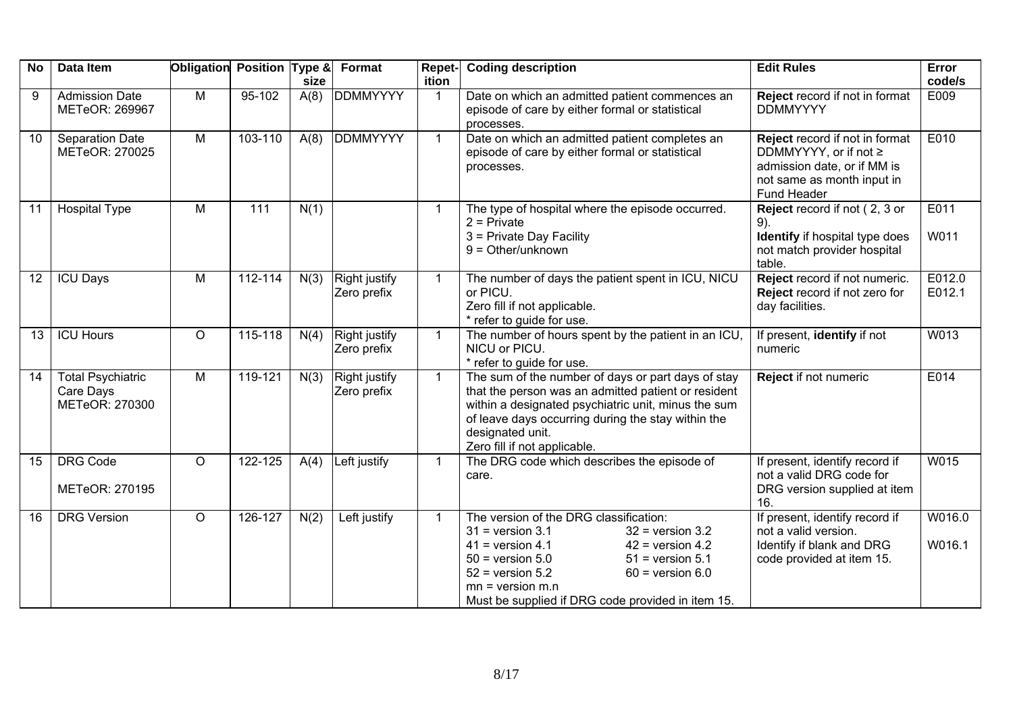| <b>No</b> | <b>Data Item</b>                                        | Obligation Position Type & |            | size | Format                       | Repet-<br>ition | <b>Coding description</b>                                                                                                                                                                                                                                                                                   | <b>Edit Rules</b>                                                                                                                   | Error<br>code/s  |
|-----------|---------------------------------------------------------|----------------------------|------------|------|------------------------------|-----------------|-------------------------------------------------------------------------------------------------------------------------------------------------------------------------------------------------------------------------------------------------------------------------------------------------------------|-------------------------------------------------------------------------------------------------------------------------------------|------------------|
| 9         | <b>Admission Date</b><br>METeOR: 269967                 | M                          | $95 - 102$ | A(8) | <b>DDMMYYYY</b>              |                 | Date on which an admitted patient commences an<br>episode of care by either formal or statistical<br>processes.                                                                                                                                                                                             | Reject record if not in format<br><b>DDMMYYYY</b>                                                                                   | E009             |
| 10        | <b>Separation Date</b><br>METeOR: 270025                | $\overline{M}$             | 103-110    | A(8) | <b>DDMMYYYY</b>              |                 | Date on which an admitted patient completes an<br>episode of care by either formal or statistical<br>processes.                                                                                                                                                                                             | Reject record if not in format<br>DDMMYYYY, or if not ≥<br>admission date, or if MM is<br>not same as month input in<br>Fund Header | E010             |
| 11        | <b>Hospital Type</b>                                    | M                          | 111        | N(1) |                              | $\mathbf{1}$    | The type of hospital where the episode occurred.<br>$2$ = Private<br>3 = Private Day Facility<br>$9 = Other/unknown$                                                                                                                                                                                        | <b>Reject</b> record if not $(2, 3)$ or<br>$9)$ .<br>Identify if hospital type does<br>not match provider hospital<br>table.        | E011<br>W011     |
| 12        | <b>ICU Days</b>                                         | M                          | 112-114    | N(3) | Right justify<br>Zero prefix | 1               | The number of days the patient spent in ICU, NICU<br>or PICU.<br>Zero fill if not applicable.<br>* refer to guide for use.                                                                                                                                                                                  | Reject record if not numeric.<br>Reject record if not zero for<br>day facilities.                                                   | E012.0<br>E012.1 |
| 13        | <b>ICU Hours</b>                                        | $\circ$                    | 115-118    | N(4) | Right justify<br>Zero prefix | $\mathbf{1}$    | The number of hours spent by the patient in an ICU,<br>NICU or PICU.<br>* refer to guide for use.                                                                                                                                                                                                           | If present, identify if not<br>numeric                                                                                              | W013             |
| 14        | <b>Total Psychiatric</b><br>Care Days<br>METeOR: 270300 | M                          | 119-121    | N(3) | Right justify<br>Zero prefix | $\mathbf{1}$    | The sum of the number of days or part days of stay<br>that the person was an admitted patient or resident<br>within a designated psychiatric unit, minus the sum<br>of leave days occurring during the stay within the<br>designated unit.<br>Zero fill if not applicable.                                  | Reject if not numeric                                                                                                               | E014             |
| 15        | <b>DRG Code</b><br>METeOR: 270195                       | $\circ$                    | 122-125    | A(4) | Left justify                 | $\mathbf{1}$    | The DRG code which describes the episode of<br>care.                                                                                                                                                                                                                                                        | If present, identify record if<br>not a valid DRG code for<br>DRG version supplied at item<br>16.                                   | W015             |
| 16        | <b>DRG Version</b>                                      | $\circ$                    | 126-127    | N(2) | Left justify                 |                 | The version of the DRG classification:<br>$31$ = version 3.1<br>$32$ = version $3.2$<br>$41$ = version 4.1<br>$42$ = version 4.2<br>$50 =$ version $5.0$<br>$51$ = version $5.1$<br>$52$ = version $5.2$<br>$60 =$ version $6.0$<br>$mn = version m.n$<br>Must be supplied if DRG code provided in item 15. | If present, identify record if<br>not a valid version.<br>Identify if blank and DRG<br>code provided at item 15.                    | W016.0<br>W016.1 |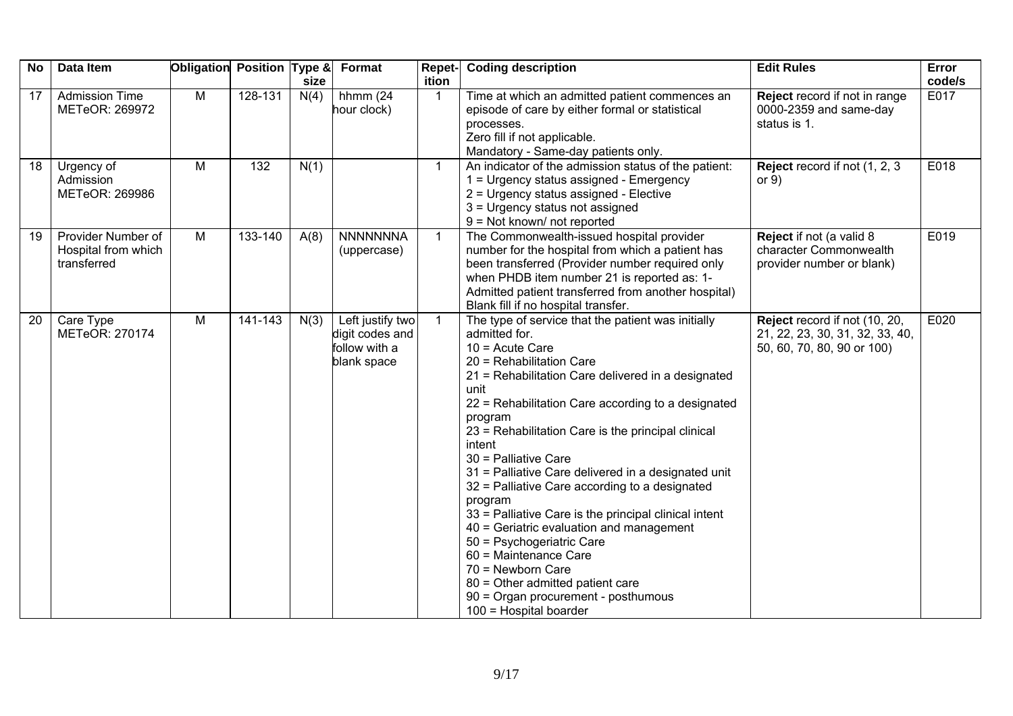| <b>No</b>       | Data Item                                                | Obligation Position Type & |         | size | <b>Format</b>                                                       | Repet-<br>ition | <b>Coding description</b>                                                                                                                                                                                                                                                                                                                                                                                                                                                                                                                                                                                                                                                                                                                            | <b>Edit Rules</b>                                                                              | Error<br>code/s |
|-----------------|----------------------------------------------------------|----------------------------|---------|------|---------------------------------------------------------------------|-----------------|------------------------------------------------------------------------------------------------------------------------------------------------------------------------------------------------------------------------------------------------------------------------------------------------------------------------------------------------------------------------------------------------------------------------------------------------------------------------------------------------------------------------------------------------------------------------------------------------------------------------------------------------------------------------------------------------------------------------------------------------------|------------------------------------------------------------------------------------------------|-----------------|
| 17 <sup>2</sup> | <b>Admission Time</b><br>METeOR: 269972                  | M                          | 128-131 | N(4) | hhmm $(24)$<br>hour clock)                                          | $\overline{1}$  | Time at which an admitted patient commences an<br>episode of care by either formal or statistical<br>processes.<br>Zero fill if not applicable.<br>Mandatory - Same-day patients only.                                                                                                                                                                                                                                                                                                                                                                                                                                                                                                                                                               | Reject record if not in range<br>0000-2359 and same-day<br>status is 1.                        | E017            |
| 18              | Urgency of<br>Admission<br>METeOR: 269986                | M                          | 132     | N(1) |                                                                     | $\overline{1}$  | An indicator of the admission status of the patient:<br>1 = Urgency status assigned - Emergency<br>2 = Urgency status assigned - Elective<br>3 = Urgency status not assigned<br>$9 = Not known/ not reported$                                                                                                                                                                                                                                                                                                                                                                                                                                                                                                                                        | Reject record if not (1, 2, 3)<br>or $9)$                                                      | E018            |
| 19              | Provider Number of<br>Hospital from which<br>transferred | M                          | 133-140 | A(8) | <b>NNNNNNNA</b><br>(uppercase)                                      | $\mathbf{1}$    | The Commonwealth-issued hospital provider<br>number for the hospital from which a patient has<br>been transferred (Provider number required only<br>when PHDB item number 21 is reported as: 1-<br>Admitted patient transferred from another hospital)<br>Blank fill if no hospital transfer.                                                                                                                                                                                                                                                                                                                                                                                                                                                        | Reject if not (a valid 8<br>character Commonwealth<br>provider number or blank)                | E019            |
| 20              | Care Type<br>METeOR: 270174                              | M                          | 141-143 | N(3) | Left justify two<br>digit codes and<br>follow with a<br>blank space | $\overline{1}$  | The type of service that the patient was initially<br>admitted for.<br>$10 =$ Acute Care<br>20 = Rehabilitation Care<br>21 = Rehabilitation Care delivered in a designated<br>unit<br>22 = Rehabilitation Care according to a designated<br>program<br>23 = Rehabilitation Care is the principal clinical<br>intent<br>30 = Palliative Care<br>31 = Palliative Care delivered in a designated unit<br>32 = Palliative Care according to a designated<br>program<br>33 = Palliative Care is the principal clinical intent<br>40 = Geriatric evaluation and management<br>50 = Psychogeriatric Care<br>60 = Maintenance Care<br>70 = Newborn Care<br>80 = Other admitted patient care<br>90 = Organ procurement - posthumous<br>100 = Hospital boarder | Reject record if not (10, 20,<br>21, 22, 23, 30, 31, 32, 33, 40,<br>50, 60, 70, 80, 90 or 100) | E020            |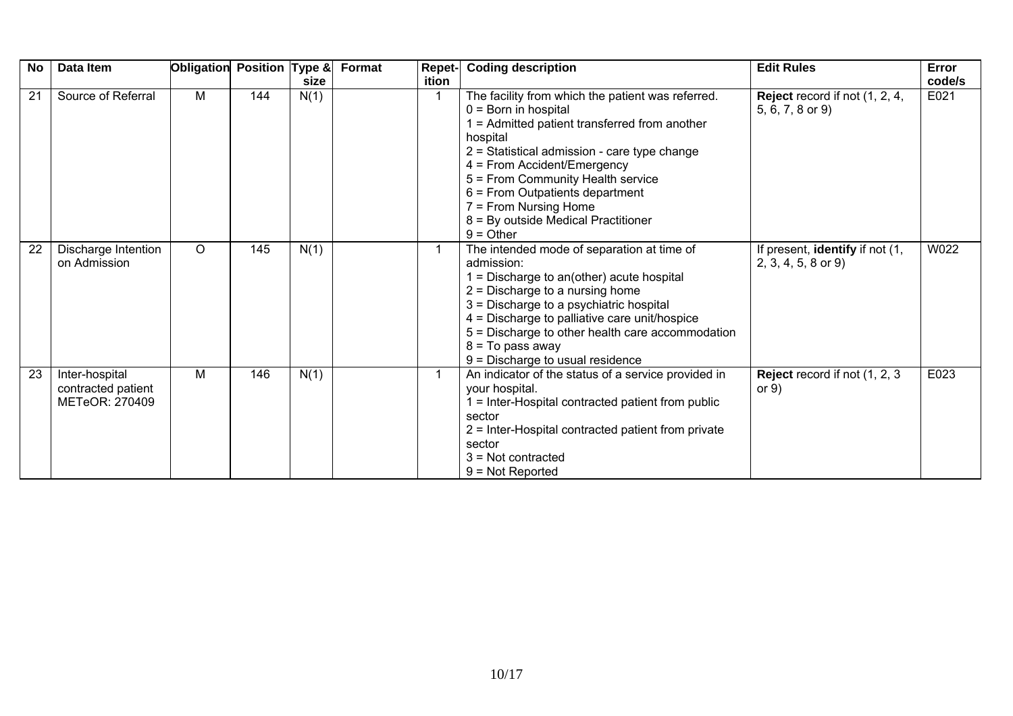| <b>No</b> | Data Item                                              | Obligation | Position Type & | size | Format<br><b>Repet-</b><br>ition | <b>Coding description</b>                                                                                                                                                                                                                                                                                                                                                    | <b>Edit Rules</b>                                         | Error<br>code/s |
|-----------|--------------------------------------------------------|------------|-----------------|------|----------------------------------|------------------------------------------------------------------------------------------------------------------------------------------------------------------------------------------------------------------------------------------------------------------------------------------------------------------------------------------------------------------------------|-----------------------------------------------------------|-----------------|
| 21        | Source of Referral                                     | M          | 144             | N(1) |                                  | The facility from which the patient was referred.<br>$0 = Born$ in hospital<br>= Admitted patient transferred from another<br>hospital<br>2 = Statistical admission - care type change<br>4 = From Accident/Emergency<br>5 = From Community Health service<br>6 = From Outpatients department<br>7 = From Nursing Home<br>8 = By outside Medical Practitioner<br>$9 =$ Other | <b>Reject</b> record if not (1, 2, 4,<br>5, 6, 7, 8 or 9) | E021            |
| 22        | Discharge Intention<br>on Admission                    | $\circ$    | 145             | N(1) |                                  | The intended mode of separation at time of<br>admission:<br>$1 =$ Discharge to an(other) acute hospital<br>$2$ = Discharge to a nursing home<br>3 = Discharge to a psychiatric hospital<br>4 = Discharge to palliative care unit/hospice<br>5 = Discharge to other health care accommodation<br>$8 = To pass away$<br>9 = Discharge to usual residence                       | If present, identify if not (1,<br>$2, 3, 4, 5, 8$ or 9)  | W022            |
| 23        | Inter-hospital<br>contracted patient<br>METeOR: 270409 | м          | 146             | N(1) |                                  | An indicator of the status of a service provided in<br>your hospital.<br>= Inter-Hospital contracted patient from public<br>sector<br>2 = Inter-Hospital contracted patient from private<br>sector<br>$3$ = Not contracted<br>$9 = Not Reported$                                                                                                                             | Reject record if not (1, 2, 3)<br>or $9)$                 | E023            |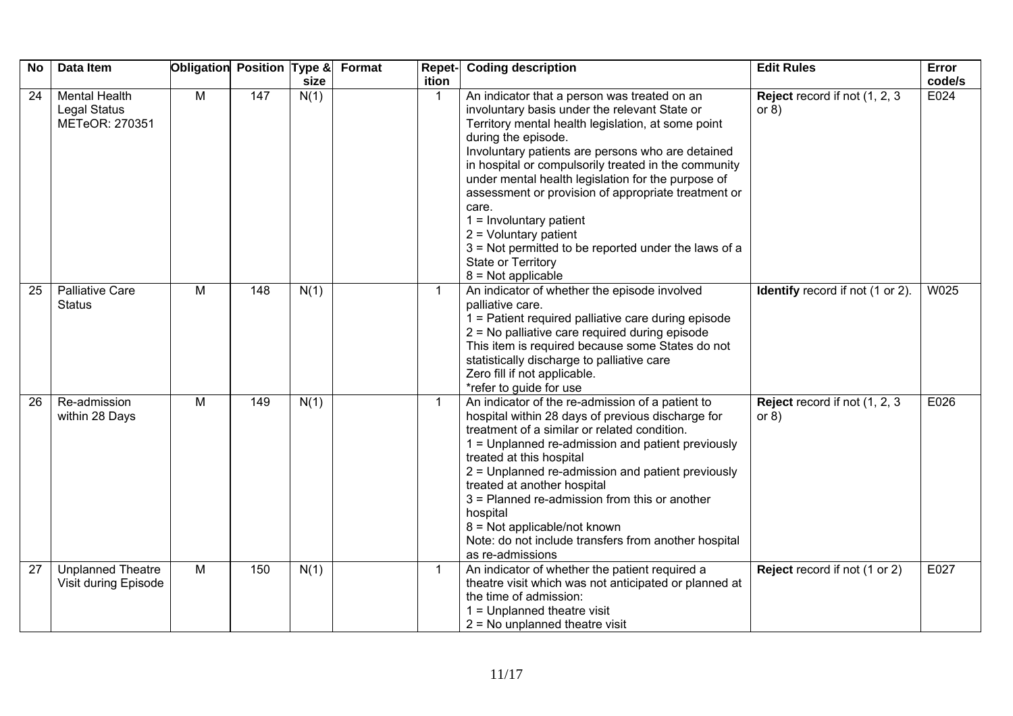| <b>No</b> | Data Item                                                     | Obligation | <b>Position Type &amp;</b> | size | Format | Repet-<br>ition | <b>Coding description</b>                                                                                                                                                                                                                                                                                                                                                                                                                                                                                                                                                          | <b>Edit Rules</b>                         | Error<br>code/s |
|-----------|---------------------------------------------------------------|------------|----------------------------|------|--------|-----------------|------------------------------------------------------------------------------------------------------------------------------------------------------------------------------------------------------------------------------------------------------------------------------------------------------------------------------------------------------------------------------------------------------------------------------------------------------------------------------------------------------------------------------------------------------------------------------------|-------------------------------------------|-----------------|
| 24        | <b>Mental Health</b><br><b>Legal Status</b><br>METeOR: 270351 | M          | 147                        | N(1) |        |                 | An indicator that a person was treated on an<br>involuntary basis under the relevant State or<br>Territory mental health legislation, at some point<br>during the episode.<br>Involuntary patients are persons who are detained<br>in hospital or compulsorily treated in the community<br>under mental health legislation for the purpose of<br>assessment or provision of appropriate treatment or<br>care.<br>$1 =$ Involuntary patient<br>$2 =$ Voluntary patient<br>3 = Not permitted to be reported under the laws of a<br><b>State or Territory</b><br>$8 = Not applicable$ | Reject record if not (1, 2, 3)<br>or $8)$ | E024            |
| 25        | <b>Palliative Care</b><br><b>Status</b>                       | M          | 148                        | N(1) |        | $\mathbf{1}$    | An indicator of whether the episode involved<br>palliative care.<br>1 = Patient required palliative care during episode<br>2 = No palliative care required during episode<br>This item is required because some States do not<br>statistically discharge to palliative care<br>Zero fill if not applicable.<br>*refer to guide for use                                                                                                                                                                                                                                             | <b>Identify</b> record if not (1 or 2).   | W025            |
| 26        | Re-admission<br>within 28 Days                                | M          | 149                        | N(1) |        | $\mathbf{1}$    | An indicator of the re-admission of a patient to<br>hospital within 28 days of previous discharge for<br>treatment of a similar or related condition.<br>1 = Unplanned re-admission and patient previously<br>treated at this hospital<br>2 = Unplanned re-admission and patient previously<br>treated at another hospital<br>3 = Planned re-admission from this or another<br>hospital<br>8 = Not applicable/not known<br>Note: do not include transfers from another hospital<br>as re-admissions                                                                                | Reject record if not (1, 2, 3)<br>or $8)$ | E026            |
| 27        | <b>Unplanned Theatre</b><br>Visit during Episode              | M          | 150                        | N(1) |        | $\mathbf{1}$    | An indicator of whether the patient required a<br>theatre visit which was not anticipated or planned at<br>the time of admission:<br>$1 =$ Unplanned theatre visit<br>$2 = No$ unplanned theatre visit                                                                                                                                                                                                                                                                                                                                                                             | Reject record if not (1 or 2)             | E027            |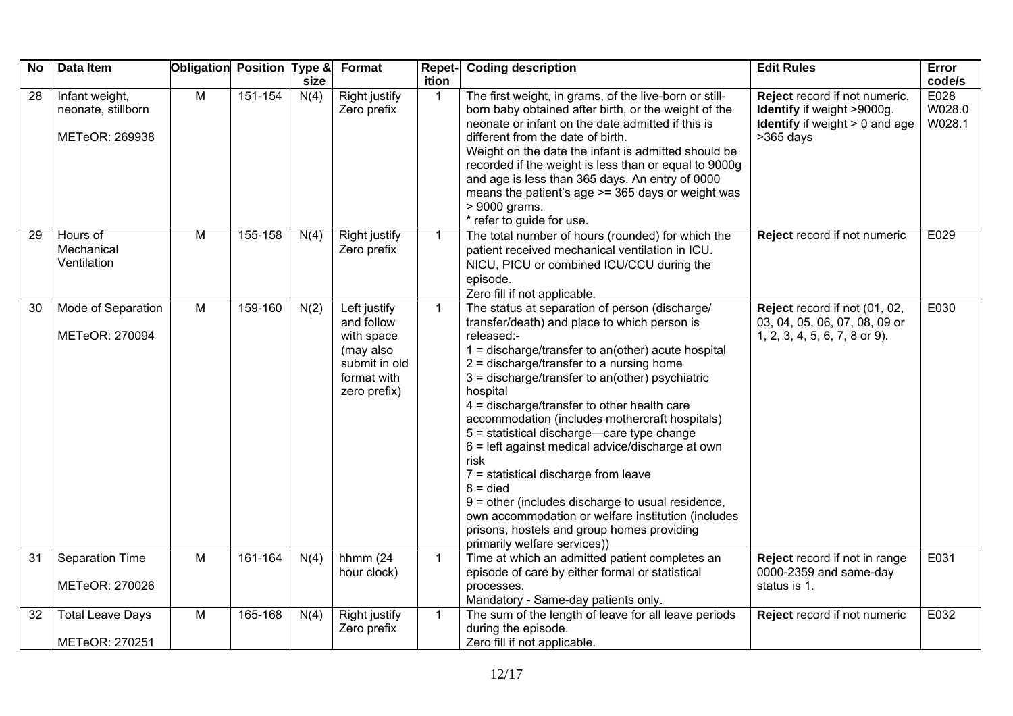| <b>No</b> | Data Item                                              | Obligation Position Type & |         | size | Format                                                                                                | Repet-<br>ition | <b>Coding description</b>                                                                                                                                                                                                                                                                                                                                                                                                                                                                                                                                                                                                                                                                                                                         | <b>Edit Rules</b>                                                                                                     | Error<br>code/s          |
|-----------|--------------------------------------------------------|----------------------------|---------|------|-------------------------------------------------------------------------------------------------------|-----------------|---------------------------------------------------------------------------------------------------------------------------------------------------------------------------------------------------------------------------------------------------------------------------------------------------------------------------------------------------------------------------------------------------------------------------------------------------------------------------------------------------------------------------------------------------------------------------------------------------------------------------------------------------------------------------------------------------------------------------------------------------|-----------------------------------------------------------------------------------------------------------------------|--------------------------|
| 28        | Infant weight,<br>neonate, stillborn<br>METeOR: 269938 | $\overline{M}$             | 151-154 | N(4) | <b>Right justify</b><br>Zero prefix                                                                   | $\mathbf{1}$    | The first weight, in grams, of the live-born or still-<br>born baby obtained after birth, or the weight of the<br>neonate or infant on the date admitted if this is<br>different from the date of birth.<br>Weight on the date the infant is admitted should be<br>recorded if the weight is less than or equal to 9000g<br>and age is less than 365 days. An entry of 0000<br>means the patient's age >= 365 days or weight was<br>> 9000 grams.<br>* refer to guide for use.                                                                                                                                                                                                                                                                    | Reject record if not numeric.<br>Identify if weight >9000g.<br><b>Identify</b> if weight $> 0$ and age<br>$>365$ days | E028<br>W028.0<br>W028.1 |
| 29        | Hours of<br>Mechanical<br>Ventilation                  | M                          | 155-158 | N(4) | Right justify<br>Zero prefix                                                                          | $\mathbf{1}$    | The total number of hours (rounded) for which the<br>patient received mechanical ventilation in ICU.<br>NICU, PICU or combined ICU/CCU during the<br>episode.<br>Zero fill if not applicable.                                                                                                                                                                                                                                                                                                                                                                                                                                                                                                                                                     | Reject record if not numeric                                                                                          | E029                     |
| 30        | Mode of Separation<br>METeOR: 270094                   | M                          | 159-160 | N(2) | Left justify<br>and follow<br>with space<br>(may also<br>submit in old<br>format with<br>zero prefix) | $\mathbf{1}$    | The status at separation of person (discharge/<br>transfer/death) and place to which person is<br>released:-<br>$1 =$ discharge/transfer to an(other) acute hospital<br>$2 =$ discharge/transfer to a nursing home<br>$3 =$ discharge/transfer to an(other) psychiatric<br>hospital<br>4 = discharge/transfer to other health care<br>accommodation (includes mothercraft hospitals)<br>5 = statistical discharge-care type change<br>$6$ = left against medical advice/discharge at own<br>risk<br>7 = statistical discharge from leave<br>$8 =$ died<br>$9$ = other (includes discharge to usual residence,<br>own accommodation or welfare institution (includes<br>prisons, hostels and group homes providing<br>primarily welfare services)) | Reject record if not (01, 02,<br>03, 04, 05, 06, 07, 08, 09 or<br>1, 2, 3, 4, 5, 6, 7, 8 or 9).                       | E030                     |
| 31        | Separation Time<br>METeOR: 270026                      | M                          | 161-164 | N(4) | hhmm $(24)$<br>hour clock)                                                                            | $\mathbf{1}$    | Time at which an admitted patient completes an<br>episode of care by either formal or statistical<br>processes.<br>Mandatory - Same-day patients only.                                                                                                                                                                                                                                                                                                                                                                                                                                                                                                                                                                                            | Reject record if not in range<br>0000-2359 and same-day<br>status is 1.                                               | E031                     |
| 32        | <b>Total Leave Days</b><br>METeOR: 270251              | M                          | 165-168 | N(4) | Right justify<br>Zero prefix                                                                          | $\mathbf{1}$    | The sum of the length of leave for all leave periods<br>during the episode.<br>Zero fill if not applicable.                                                                                                                                                                                                                                                                                                                                                                                                                                                                                                                                                                                                                                       | Reject record if not numeric                                                                                          | E032                     |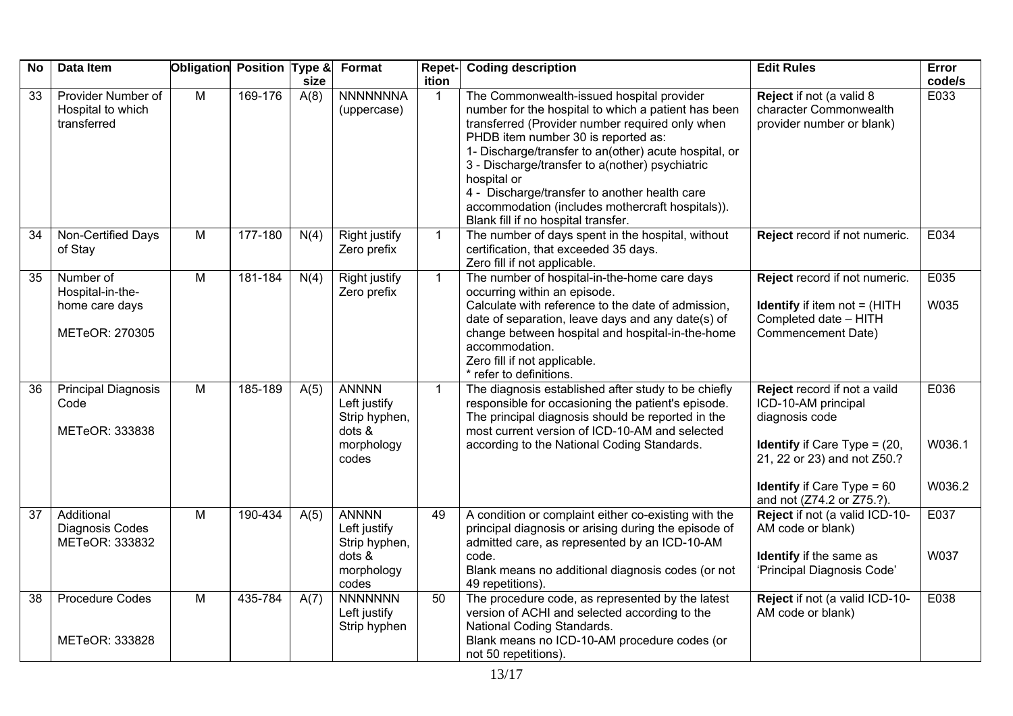| <b>No</b>       | Data Item                                                         | Obligation     | Position Type & | size | Format                                                                         | Repet-<br>ition | <b>Coding description</b>                                                                                                                                                                                                                                                                                                                                                                                                                                         | <b>Edit Rules</b>                                                                                                                                 | Error<br>code/s |
|-----------------|-------------------------------------------------------------------|----------------|-----------------|------|--------------------------------------------------------------------------------|-----------------|-------------------------------------------------------------------------------------------------------------------------------------------------------------------------------------------------------------------------------------------------------------------------------------------------------------------------------------------------------------------------------------------------------------------------------------------------------------------|---------------------------------------------------------------------------------------------------------------------------------------------------|-----------------|
| $\overline{33}$ | Provider Number of<br>Hospital to which<br>transferred            | M              | 169-176         | A(8) | <b>NNNNNNNA</b><br>(uppercase)                                                 | 1               | The Commonwealth-issued hospital provider<br>number for the hospital to which a patient has been<br>transferred (Provider number required only when<br>PHDB item number 30 is reported as:<br>1- Discharge/transfer to an(other) acute hospital, or<br>3 - Discharge/transfer to a(nother) psychiatric<br>hospital or<br>4 - Discharge/transfer to another health care<br>accommodation (includes mothercraft hospitals)).<br>Blank fill if no hospital transfer. | Reject if not (a valid 8<br>character Commonwealth<br>provider number or blank)                                                                   | E033            |
| 34              | Non-Certified Days<br>of Stay                                     | M              | 177-180         | N(4) | Right justify<br>Zero prefix                                                   | $\mathbf{1}$    | The number of days spent in the hospital, without<br>certification, that exceeded 35 days.<br>Zero fill if not applicable.                                                                                                                                                                                                                                                                                                                                        | Reject record if not numeric.                                                                                                                     | E034            |
| 35              | Number of<br>Hospital-in-the-<br>home care days<br>METeOR: 270305 | M              | 181-184         | N(4) | <b>Right justify</b><br>Zero prefix                                            | $\mathbf{1}$    | The number of hospital-in-the-home care days<br>occurring within an episode.<br>Calculate with reference to the date of admission,<br>date of separation, leave days and any date(s) of<br>change between hospital and hospital-in-the-home<br>accommodation.<br>Zero fill if not applicable.<br>* refer to definitions.                                                                                                                                          | Reject record if not numeric.<br><b>Identify</b> if item not $=$ (HITH<br>Completed date - HITH<br>Commencement Date)                             | E035<br>W035    |
| 36              | <b>Principal Diagnosis</b><br>Code<br>METeOR: 333838              | M              | 185-189         | A(5) | <b>ANNNN</b><br>Left justify<br>Strip hyphen,<br>dots &<br>morphology<br>codes | $\mathbf{1}$    | The diagnosis established after study to be chiefly<br>responsible for occasioning the patient's episode.<br>The principal diagnosis should be reported in the<br>most current version of ICD-10-AM and selected<br>according to the National Coding Standards.                                                                                                                                                                                                   | Reject record if not a vaild<br>ICD-10-AM principal<br>diagnosis code<br><b>Identify</b> if Care Type = $(20, 10)$<br>21, 22 or 23) and not Z50.? | E036<br>W036.1  |
|                 |                                                                   |                |                 |      |                                                                                |                 |                                                                                                                                                                                                                                                                                                                                                                                                                                                                   | <b>Identify</b> if Care Type = $60$<br>and not (Z74.2 or Z75.?).                                                                                  | W036.2          |
| $\overline{37}$ | Additional<br>Diagnosis Codes<br>METeOR: 333832                   | $\overline{M}$ | 190-434         | A(5) | <b>ANNNN</b><br>Left justify<br>Strip hyphen,<br>dots &<br>morphology<br>codes | 49              | A condition or complaint either co-existing with the<br>principal diagnosis or arising during the episode of<br>admitted care, as represented by an ICD-10-AM<br>code.<br>Blank means no additional diagnosis codes (or not<br>49 repetitions).                                                                                                                                                                                                                   | Reject if not (a valid ICD-10-<br>AM code or blank)<br>Identify if the same as<br>'Principal Diagnosis Code'                                      | E037<br>W037    |
| 38              | <b>Procedure Codes</b><br>METeOR: 333828                          | $\overline{M}$ | 435-784         | A(7) | <b>NNNNNNN</b><br>Left justify<br>Strip hyphen                                 | 50              | The procedure code, as represented by the latest<br>version of ACHI and selected according to the<br>National Coding Standards.<br>Blank means no ICD-10-AM procedure codes (or<br>not 50 repetitions).                                                                                                                                                                                                                                                           | Reject if not (a valid ICD-10-<br>AM code or blank)                                                                                               | E038            |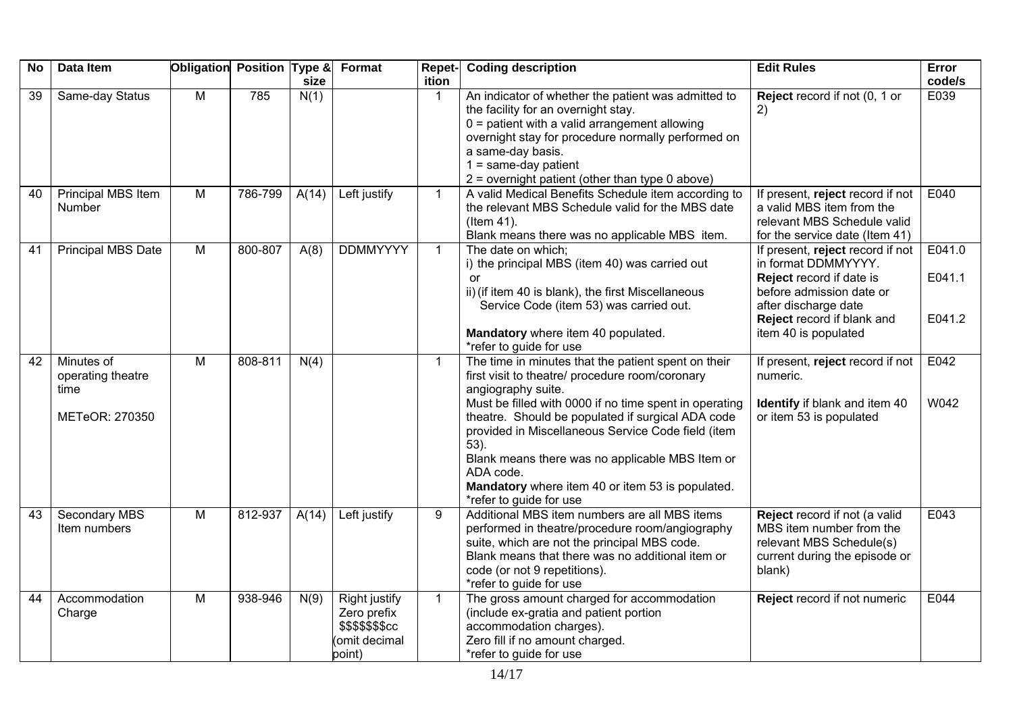| <b>No</b>       | Data Item                                                 | Obligation     | Position Type & | size  | Format                                                                            | Repet-<br>ition | <b>Coding description</b>                                                                                                                                                                                                                                                                                                                                                                                                                                   | <b>Edit Rules</b>                                                                                                                                                                             | Error<br>code/s            |
|-----------------|-----------------------------------------------------------|----------------|-----------------|-------|-----------------------------------------------------------------------------------|-----------------|-------------------------------------------------------------------------------------------------------------------------------------------------------------------------------------------------------------------------------------------------------------------------------------------------------------------------------------------------------------------------------------------------------------------------------------------------------------|-----------------------------------------------------------------------------------------------------------------------------------------------------------------------------------------------|----------------------------|
| $\overline{39}$ | Same-day Status                                           | $\overline{M}$ | 785             | N(1)  |                                                                                   | 1               | An indicator of whether the patient was admitted to<br>the facility for an overnight stay.<br>$0 =$ patient with a valid arrangement allowing<br>overnight stay for procedure normally performed on<br>a same-day basis.<br>$1 = same-day patient$<br>$2$ = overnight patient (other than type 0 above)                                                                                                                                                     | Reject record if not (0, 1 or<br>2)                                                                                                                                                           | E039                       |
| 40              | Principal MBS Item<br>Number                              | M              | 786-799         | A(14) | Left justify                                                                      | $\mathbf{1}$    | A valid Medical Benefits Schedule item according to<br>the relevant MBS Schedule valid for the MBS date<br>(Item 41).<br>Blank means there was no applicable MBS item.                                                                                                                                                                                                                                                                                      | If present, reject record if not<br>a valid MBS item from the<br>relevant MBS Schedule valid<br>for the service date (Item 41)                                                                | E040                       |
| 41              | Principal MBS Date                                        | M              | 800-807         | A(8)  | <b>DDMMYYYY</b>                                                                   | $\mathbf{1}$    | The date on which;<br>i) the principal MBS (item 40) was carried out<br>or<br>ii) (if item 40 is blank), the first Miscellaneous<br>Service Code (item 53) was carried out.<br>Mandatory where item 40 populated.<br>*refer to guide for use                                                                                                                                                                                                                | If present, reject record if not<br>in format DDMMYYYY.<br>Reject record if date is<br>before admission date or<br>after discharge date<br>Reject record if blank and<br>item 40 is populated | E041.0<br>E041.1<br>E041.2 |
| 42              | Minutes of<br>operating theatre<br>time<br>METeOR: 270350 | M              | 808-811         | N(4)  |                                                                                   | $\mathbf{1}$    | The time in minutes that the patient spent on their<br>first visit to theatre/ procedure room/coronary<br>angiography suite.<br>Must be filled with 0000 if no time spent in operating<br>theatre. Should be populated if surgical ADA code<br>provided in Miscellaneous Service Code field (item<br>$53$ ).<br>Blank means there was no applicable MBS Item or<br>ADA code.<br>Mandatory where item 40 or item 53 is populated.<br>*refer to guide for use | If present, reject record if not<br>numeric.<br>Identify if blank and item 40<br>or item 53 is populated                                                                                      | E042<br>W042               |
| 43              | Secondary MBS<br>Item numbers                             | $\overline{M}$ | 812-937         | A(14) | Left justify                                                                      | 9               | Additional MBS item numbers are all MBS items<br>performed in theatre/procedure room/angiography<br>suite, which are not the principal MBS code.<br>Blank means that there was no additional item or<br>code (or not 9 repetitions).<br>*refer to guide for use                                                                                                                                                                                             | Reject record if not (a valid<br>MBS item number from the<br>relevant MBS Schedule(s)<br>current during the episode or<br>blank)                                                              | E043                       |
| 44              | Accommodation<br>Charge                                   | $\overline{M}$ | 938-946         | N(9)  | <b>Right justify</b><br>Zero prefix<br>\$\$\$\$\$\$\$cc<br>omit decimal<br>point) | $\mathbf{1}$    | The gross amount charged for accommodation<br>(include ex-gratia and patient portion<br>accommodation charges).<br>Zero fill if no amount charged.<br>*refer to guide for use                                                                                                                                                                                                                                                                               | Reject record if not numeric                                                                                                                                                                  | E044                       |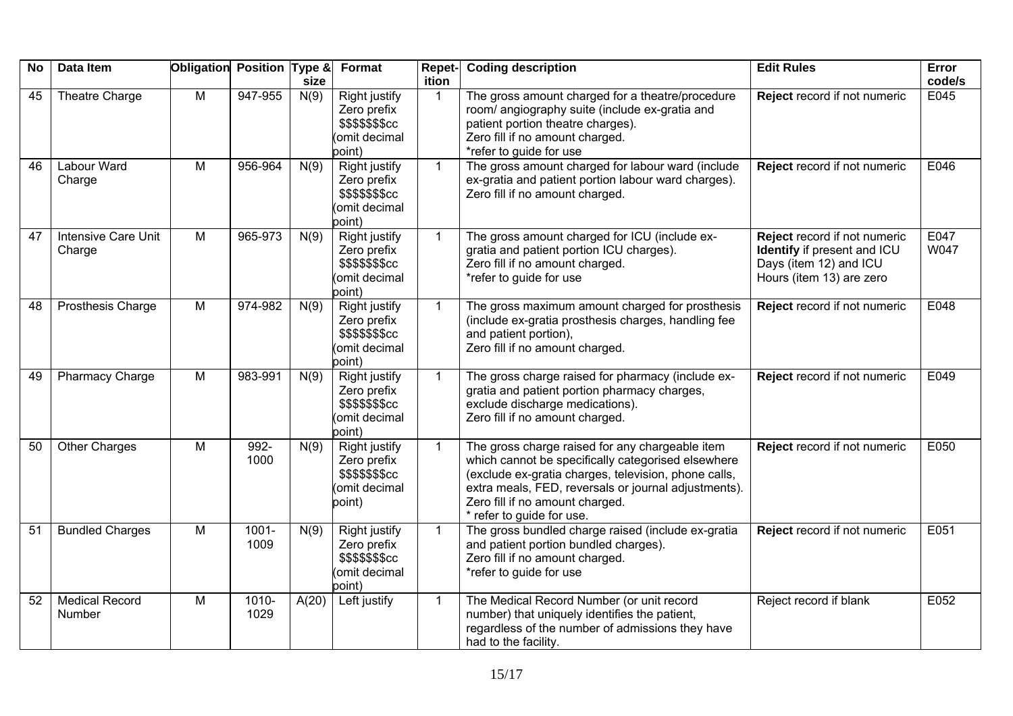| <b>No</b> | Data Item                            | Obligation Position Type & |                  | size  | Format                                                                            | <b>Repet-</b><br>ition | <b>Coding description</b>                                                                                                                                                                                                                                                             | <b>Edit Rules</b>                                                                                                 | <b>Error</b><br>code/s |
|-----------|--------------------------------------|----------------------------|------------------|-------|-----------------------------------------------------------------------------------|------------------------|---------------------------------------------------------------------------------------------------------------------------------------------------------------------------------------------------------------------------------------------------------------------------------------|-------------------------------------------------------------------------------------------------------------------|------------------------|
| 45        | Theatre Charge                       | M                          | 947-955          | N(9)  | <b>Right justify</b><br>Zero prefix<br>\$\$\$\$\$\$\$cc<br>omit decimal<br>point) | -1                     | The gross amount charged for a theatre/procedure<br>room/ angiography suite (include ex-gratia and<br>patient portion theatre charges).<br>Zero fill if no amount charged.<br>*refer to guide for use                                                                                 | Reject record if not numeric                                                                                      | E045                   |
| 46        | Labour Ward<br>Charge                | M                          | 956-964          | N(9)  | Right justify<br>Zero prefix<br>\$\$\$\$\$\$\$cc<br>omit decimal<br>point)        | $\mathbf 1$            | The gross amount charged for labour ward (include<br>ex-gratia and patient portion labour ward charges).<br>Zero fill if no amount charged.                                                                                                                                           | Reject record if not numeric                                                                                      | E046                   |
| 47        | <b>Intensive Care Unit</b><br>Charge | M                          | 965-973          | N(9)  | <b>Right justify</b><br>Zero prefix<br>\$\$\$\$\$\$\$cc<br>omit decimal<br>point) | $\mathbf 1$            | The gross amount charged for ICU (include ex-<br>gratia and patient portion ICU charges).<br>Zero fill if no amount charged.<br>*refer to guide for use                                                                                                                               | Reject record if not numeric<br>Identify if present and ICU<br>Days (item 12) and ICU<br>Hours (item 13) are zero | E047<br>W047           |
| 48        | <b>Prosthesis Charge</b>             | M                          | 974-982          | N(9)  | <b>Right justify</b><br>Zero prefix<br>\$\$\$\$\$\$\$cc<br>omit decimal<br>point) | $\mathbf{1}$           | The gross maximum amount charged for prosthesis<br>(include ex-gratia prosthesis charges, handling fee<br>and patient portion),<br>Zero fill if no amount charged.                                                                                                                    | Reject record if not numeric                                                                                      | E048                   |
| 49        | <b>Pharmacy Charge</b>               | $\overline{M}$             | 983-991          | N(9)  | <b>Right justify</b><br>Zero prefix<br>\$\$\$\$\$\$\$cc<br>omit decimal<br>point) | $\mathbf{1}$           | The gross charge raised for pharmacy (include ex-<br>gratia and patient portion pharmacy charges,<br>exclude discharge medications).<br>Zero fill if no amount charged.                                                                                                               | Reject record if not numeric                                                                                      | E049                   |
| 50        | <b>Other Charges</b>                 | M                          | 992-<br>1000     | N(9)  | <b>Right justify</b><br>Zero prefix<br>\$\$\$\$\$\$\$cc<br>omit decimal<br>point) | $\mathbf 1$            | The gross charge raised for any chargeable item<br>which cannot be specifically categorised elsewhere<br>(exclude ex-gratia charges, television, phone calls,<br>extra meals, FED, reversals or journal adjustments).<br>Zero fill if no amount charged.<br>* refer to guide for use. | Reject record if not numeric                                                                                      | E050                   |
| 51        | <b>Bundled Charges</b>               | M                          | $1001 -$<br>1009 | N(9)  | <b>Right justify</b><br>Zero prefix<br>\$\$\$\$\$\$\$cc<br>omit decimal<br>point) | $\mathbf{1}$           | The gross bundled charge raised (include ex-gratia<br>and patient portion bundled charges).<br>Zero fill if no amount charged.<br>*refer to guide for use                                                                                                                             | Reject record if not numeric                                                                                      | E051                   |
| 52        | <b>Medical Record</b><br>Number      | M                          | $1010 -$<br>1029 | A(20) | Left justify                                                                      | $\mathbf{1}$           | The Medical Record Number (or unit record<br>number) that uniquely identifies the patient,<br>regardless of the number of admissions they have<br>had to the facility.                                                                                                                | Reject record if blank                                                                                            | E052                   |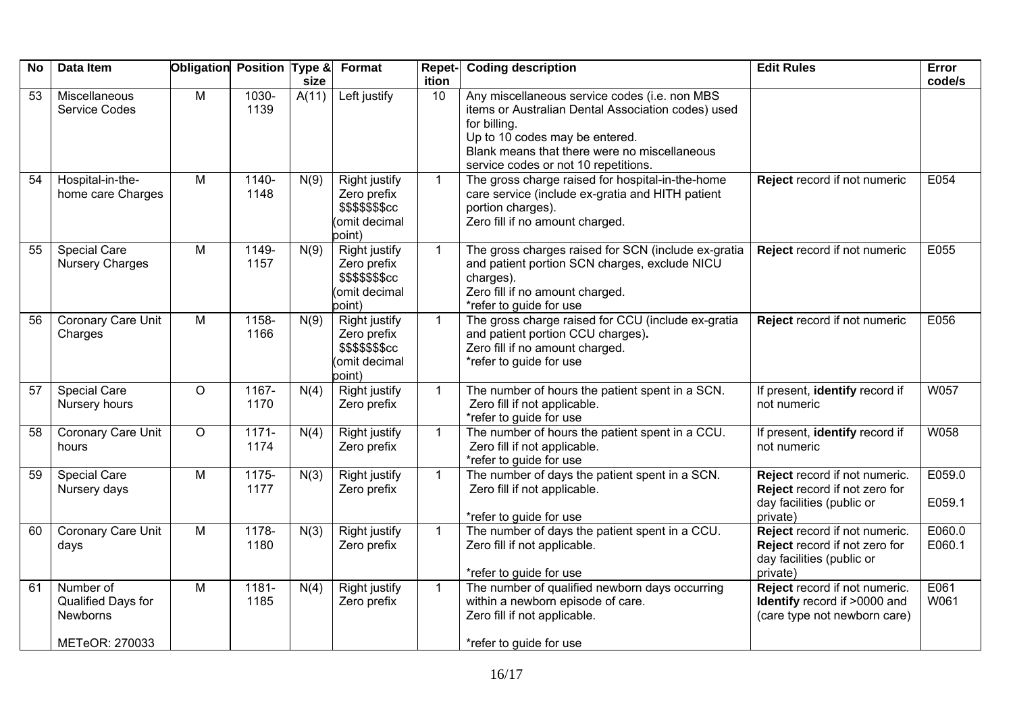| <b>No</b> | Data Item                                   | Obligation Position Type & |                  | size  | Format                                                                             | Repet-<br>ition | <b>Coding description</b>                                                                                                                                                                                                                     | <b>Edit Rules</b>                                                                                       | Error<br>code/s  |
|-----------|---------------------------------------------|----------------------------|------------------|-------|------------------------------------------------------------------------------------|-----------------|-----------------------------------------------------------------------------------------------------------------------------------------------------------------------------------------------------------------------------------------------|---------------------------------------------------------------------------------------------------------|------------------|
| 53        | Miscellaneous<br><b>Service Codes</b>       | $\overline{M}$             | $1030 -$<br>1139 | A(11) | Left justify                                                                       | 10              | Any miscellaneous service codes (i.e. non MBS<br>items or Australian Dental Association codes) used<br>for billing.<br>Up to 10 codes may be entered.<br>Blank means that there were no miscellaneous<br>service codes or not 10 repetitions. |                                                                                                         |                  |
| 54        | Hospital-in-the-<br>home care Charges       | $\overline{M}$             | $1140 -$<br>1148 | N(9)  | <b>Right justify</b><br>Zero prefix<br>\$\$\$\$\$\$\$cc<br>(omit decimal<br>point) | $\mathbf{1}$    | The gross charge raised for hospital-in-the-home<br>care service (include ex-gratia and HITH patient<br>portion charges).<br>Zero fill if no amount charged.                                                                                  | Reject record if not numeric                                                                            | E054             |
| 55        | Special Care<br><b>Nursery Charges</b>      | M                          | 1149-<br>1157    | N(9)  | Right justify<br>Zero prefix<br>\$\$\$\$\$\$\$cc<br>omit decimal<br>point)         | $\mathbf{1}$    | The gross charges raised for SCN (include ex-gratia<br>and patient portion SCN charges, exclude NICU<br>charges).<br>Zero fill if no amount charged.<br>*refer to guide for use                                                               | Reject record if not numeric                                                                            | E055             |
| 56        | Coronary Care Unit<br>Charges               | M                          | 1158-<br>1166    | N(9)  | <b>Right justify</b><br>Zero prefix<br>\$\$\$\$\$\$\$cc<br>omit decimal<br>point)  | $\mathbf{1}$    | The gross charge raised for CCU (include ex-gratia<br>and patient portion CCU charges).<br>Zero fill if no amount charged.<br>*refer to guide for use                                                                                         | Reject record if not numeric                                                                            | E056             |
| 57        | <b>Special Care</b><br>Nursery hours        | $\circ$                    | $1167 -$<br>1170 | N(4)  | <b>Right justify</b><br>Zero prefix                                                | $\mathbf{1}$    | The number of hours the patient spent in a SCN.<br>Zero fill if not applicable.<br>*refer to guide for use                                                                                                                                    | If present, identify record if<br>not numeric                                                           | W057             |
| 58        | Coronary Care Unit<br>hours                 | $\circ$                    | $1171 -$<br>1174 | N(4)  | Right justify<br>Zero prefix                                                       | $\mathbf{1}$    | The number of hours the patient spent in a CCU.<br>Zero fill if not applicable.<br>*refer to guide for use                                                                                                                                    | If present, identify record if<br>not numeric                                                           | W058             |
| 59        | <b>Special Care</b><br>Nursery days         | M                          | $1175 -$<br>1177 | N(3)  | <b>Right justify</b><br>Zero prefix                                                | $\mathbf{1}$    | The number of days the patient spent in a SCN.<br>Zero fill if not applicable.<br>*refer to guide for use                                                                                                                                     | Reject record if not numeric.<br>Reject record if not zero for<br>day facilities (public or<br>private) | E059.0<br>E059.1 |
| 60        | Coronary Care Unit<br>days                  | M                          | 1178-<br>1180    | N(3)  | <b>Right justify</b><br>Zero prefix                                                | $\mathbf{1}$    | The number of days the patient spent in a CCU.<br>Zero fill if not applicable.<br>*refer to guide for use                                                                                                                                     | Reject record if not numeric.<br>Reject record if not zero for<br>day facilities (public or<br>private) | E060.0<br>E060.1 |
| 61        | Number of<br>Qualified Days for<br>Newborns | M                          | 1181-<br>1185    | N(4)  | Right justify<br>Zero prefix                                                       | $\mathbf{1}$    | The number of qualified newborn days occurring<br>within a newborn episode of care.<br>Zero fill if not applicable.                                                                                                                           | Reject record if not numeric.<br>Identify record if >0000 and<br>(care type not newborn care)           | E061<br>W061     |
|           | METeOR: 270033                              |                            |                  |       |                                                                                    |                 | *refer to guide for use                                                                                                                                                                                                                       |                                                                                                         |                  |